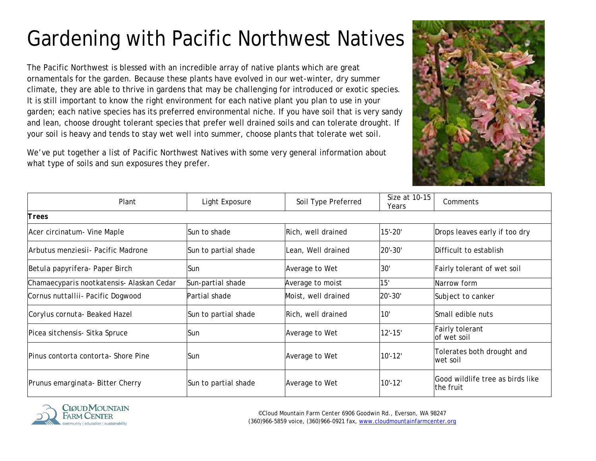## Gardening with Pacific Northwest Natives

The Pacific Northwest is blessed with an incredible array of native plants which are great ornamentals for the garden. Because these plants have evolved in our wet-winter, dry summer climate, they are able to thrive in gardens that may be challenging for introduced or exotic species. It is still important to know the right environment for each native plant you plan to use in your garden; each native species has its preferred environmental niche. If you have soil that is very sandy and lean, choose drought tolerant species that prefer well drained soils and can tolerate drought. If your soil is heavy and tends to stay wet well into summer, choose plants that tolerate wet soil.

We've put together a list of Pacific Northwest Natives with some very general information about what type of soils and sun exposures they prefer.



| Plant                                     | Light Exposure       | Soil Type Preferred | Size at 10-15<br>Years | Comments                                       |
|-------------------------------------------|----------------------|---------------------|------------------------|------------------------------------------------|
| Trees                                     |                      |                     |                        |                                                |
| Acer circinatum - Vine Maple              | Sun to shade         | Rich, well drained  | $15' - 20'$            | Drops leaves early if too dry                  |
| Arbutus menziesii- Pacific Madrone        | Sun to partial shade | Lean, Well drained  | $20' - 30'$            | lDifficult to establish                        |
| Betula papyrifera- Paper Birch            | Sun                  | Average to Wet      | 30'                    | Fairly tolerant of wet soil                    |
| Chamaecyparis nootkatensis- Alaskan Cedar | Sun-partial shade    | Average to moist    | 15'                    | Narrow form                                    |
| Cornus nuttallii- Pacific Dogwood         | Partial shade        | Moist, well drained | $20' - 30'$            | Subject to canker                              |
| Corylus cornuta- Beaked Hazel             | Sun to partial shade | Rich, well drained  | 10'                    | lSmall edible nuts                             |
| Picea sitchensis- Sitka Spruce            | <b>Sun</b>           | Average to Wet      | $12' - 15'$            | Fairly tolerant<br>of wet soil                 |
| Pinus contorta contorta- Shore Pine       | lSun.                | Average to Wet      | $10' - 12'$            | Tolerates both drought and<br>wet soil         |
| Prunus emarginata- Bitter Cherry          | Sun to partial shade | Average to Wet      | $10' - 12'$            | lGood wildlife tree as birds like<br>the fruit |



©Cloud Mountain Farm Center 6906 Goodwin Rd., Everson, WA 98247 (360)966-5859 voice, (360)966-0921 fax, [www.cloudmountainfarmcenter.org](http://www.cloudmountainfarmcenter.org/)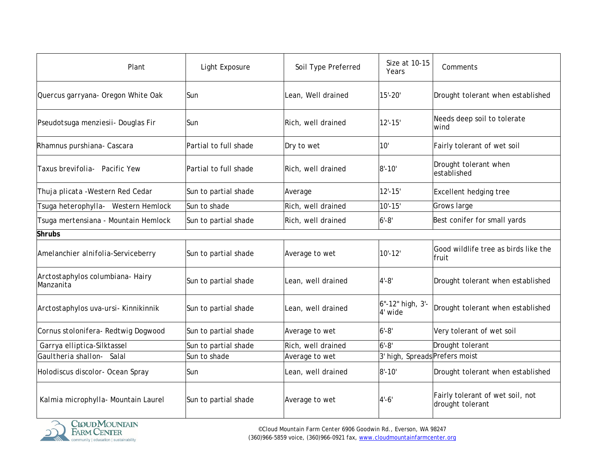| Plant                                         | Light Exposure        | Soil Type Preferred | Size at 10-15<br>Years         | Comments                                             |
|-----------------------------------------------|-----------------------|---------------------|--------------------------------|------------------------------------------------------|
| Quercus garryana- Oregon White Oak            | Sun                   | Lean, Well drained  | $15' - 20'$                    | Drought tolerant when established                    |
| Pseudotsuga menziesii- Douglas Fir            | Sun                   | Rich, well drained  | $12' - 15'$                    | Needs deep soil to tolerate<br>wind                  |
| Rhamnus purshiana- Cascara                    | Partial to full shade | Dry to wet          | 10'                            | Fairly tolerant of wet soil                          |
| Taxus brevifolia- Pacific Yew                 | Partial to full shade | Rich, well drained  | $8' - 10'$                     | Drought tolerant when<br>established                 |
| Thuja plicata - Western Red Cedar             | Sun to partial shade  | Average             | $12' - 15'$                    | <b>Excellent hedging tree</b>                        |
| Tsuga heterophylla- Western Hemlock           | Sun to shade          | Rich, well drained  | $10' - 15'$                    | Grows large                                          |
| Tsuga mertensiana - Mountain Hemlock          | Sun to partial shade  | Rich, well drained  | $6' - 8'$                      | Best conifer for small yards                         |
| <b>Shrubs</b>                                 |                       |                     |                                |                                                      |
| Amelanchier alnifolia-Serviceberry            | Sun to partial shade  | Average to wet      | $10' - 12'$                    | Good wildlife tree as birds like the<br>fruit        |
| Arctostaphylos columbiana- Hairy<br>Manzanita | Sun to partial shade  | Lean, well drained  | $4' - 8'$                      | Drought tolerant when established                    |
| Arctostaphylos uva-ursi- Kinnikinnik          | Sun to partial shade  | Lean, well drained  | 6"-12" high, 3'-<br>4' wide    | Drought tolerant when established                    |
| Cornus stolonifera- Redtwig Dogwood           | Sun to partial shade  | Average to wet      | $6 - 8$                        | Very tolerant of wet soil                            |
| Garrya elliptica-Silktassel                   | Sun to partial shade  | Rich, well drained  | $6 - 8$                        | Drought tolerant                                     |
| Gaultheria shallon-<br>Salal                  | Sun to shade          | Average to wet      | 3' high, Spreads Prefers moist |                                                      |
| Holodiscus discolor- Ocean Spray              | Sun                   | Lean, well drained  | $8' - 10'$                     | Drought tolerant when established                    |
| Kalmia microphylla- Mountain Laurel           | Sun to partial shade  | Average to wet      | $4' - 6'$                      | Fairly tolerant of wet soil, not<br>drought tolerant |

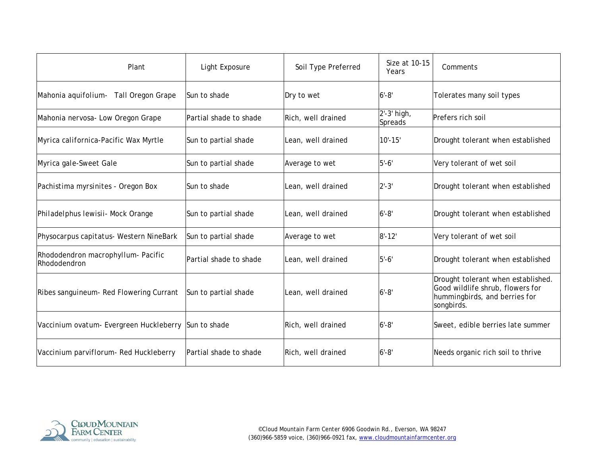| Plant                                                | Light Exposure         | Soil Type Preferred | Size at 10-15<br>Years | Comments                                                                                                              |
|------------------------------------------------------|------------------------|---------------------|------------------------|-----------------------------------------------------------------------------------------------------------------------|
| Mahonia aquifolium- Tall Oregon Grape                | Sun to shade           | Dry to wet          | $6' - 8'$              | Tolerates many soil types                                                                                             |
| Mahonia nervosa- Low Oregon Grape                    | Partial shade to shade | Rich, well drained  | 2'-3' high,<br>Spreads | Prefers rich soil                                                                                                     |
| Myrica californica-Pacific Wax Myrtle                | Sun to partial shade   | Lean, well drained  | $10' - 15'$            | Drought tolerant when established                                                                                     |
| Myrica gale-Sweet Gale                               | Sun to partial shade   | Average to wet      | $5'-6'$                | Very tolerant of wet soil                                                                                             |
| Pachistima myrsinites - Oregon Box                   | Sun to shade           | Lean, well drained  | $2' - 3'$              | Drought tolerant when established                                                                                     |
| Philadelphus lewisii- Mock Orange                    | Sun to partial shade   | Lean, well drained  | $6' - 8'$              | Drought tolerant when established                                                                                     |
| Physocarpus capitatus- Western NineBark              | Sun to partial shade   | Average to wet      | $8' - 12'$             | Very tolerant of wet soil                                                                                             |
| Rhododendron macrophyllum- Pacific<br>Rhododendron   | Partial shade to shade | Lean, well drained  | $15 - 6'$              | Drought tolerant when established                                                                                     |
| Ribes sanguineum- Red Flowering Currant              | Sun to partial shade   | Lean, well drained  | $6' - 8'$              | Drought tolerant when established.<br>Good wildlife shrub, flowers for<br>hummingbirds, and berries for<br>songbirds. |
| Vaccinium ovatum- Evergreen Huckleberry Sun to shade |                        | Rich, well drained  | $6' - 8'$              | Sweet, edible berries late summer                                                                                     |
| Vaccinium parviflorum- Red Huckleberry               | Partial shade to shade | Rich, well drained  | $6' - 8'$              | Needs organic rich soil to thrive                                                                                     |

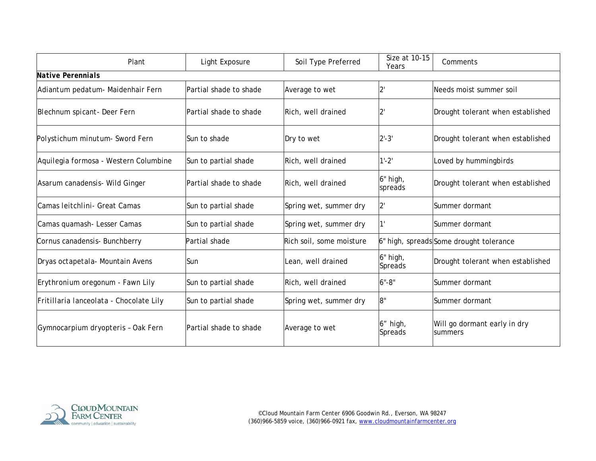| Plant                                   | Light Exposure         | Soil Type Preferred      | Size at 10-15<br>Years | Comments                                |
|-----------------------------------------|------------------------|--------------------------|------------------------|-----------------------------------------|
| <b>Native Perennials</b>                |                        |                          |                        |                                         |
| Adiantum pedatum- Maidenhair Fern       | Partial shade to shade | Average to wet           | $2^{\prime}$           | Needs moist summer soil                 |
| Blechnum spicant- Deer Fern             | Partial shade to shade | Rich, well drained       | $2^{\prime}$           | Drought tolerant when established       |
| Polystichum minutum- Sword Fern         | Sun to shade           | Dry to wet               | $2' - 3'$              | Drought tolerant when established       |
| Aquilegia formosa - Western Columbine   | Sun to partial shade   | Rich, well drained       | $1'-2'$                | Loved by hummingbirds                   |
| Asarum canadensis- Wild Ginger          | Partial shade to shade | Rich, well drained       | 6" high,<br>spreads    | Drought tolerant when established       |
| Camas leitchlini- Great Camas           | Sun to partial shade   | Spring wet, summer dry   | $2^{\prime}$           | Summer dormant                          |
| Camas quamash- Lesser Camas             | Sun to partial shade   | Spring wet, summer dry   |                        | Summer dormant                          |
| Cornus canadensis- Bunchberry           | Partial shade          | Rich soil, some moisture |                        | 6" high, spreads Some drought tolerance |
| Dryas octapetala- Mountain Avens        | <b>Sun</b>             | Lean, well drained       | 6" high,<br>Spreads    | Drought tolerant when established       |
| Erythronium oregonum - Fawn Lily        | Sun to partial shade   | Rich, well drained       | $6 - 8$                | Summer dormant                          |
| Fritillaria lanceolata - Chocolate Lily | Sun to partial shade   | Spring wet, summer dry   | 8"                     | Summer dormant                          |
| Gymnocarpium dryopteris - Oak Fern      | Partial shade to shade | Average to wet           | 6" high,<br>Spreads    | Will go dormant early in dry<br>summers |